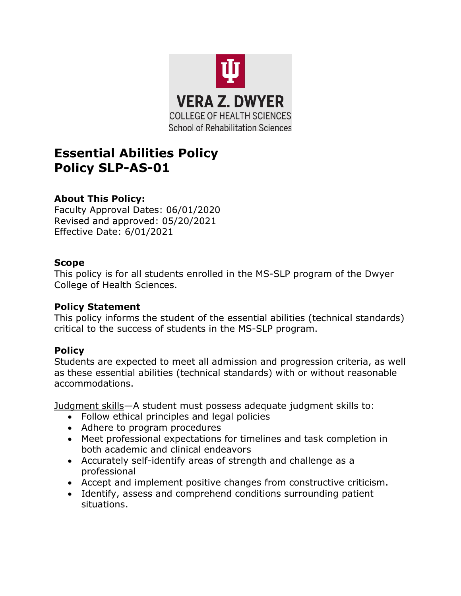

# **Essential Abilities Policy Policy SLP-AS-01**

## **About This Policy:**

Faculty Approval Dates: 06/01/2020 Revised and approved: 05/20/2021 Effective Date: 6/01/2021

#### **Scope**

This policy is for all students enrolled in the MS-SLP program of the Dwyer College of Health Sciences.

#### **Policy Statement**

This policy informs the student of the essential abilities (technical standards) critical to the success of students in the MS-SLP program.

## **Policy**

Students are expected to meet all admission and progression criteria, as well as these essential abilities (technical standards) with or without reasonable accommodations.

Judgment skills—A student must possess adequate judgment skills to:

- Follow ethical principles and legal policies
- Adhere to program procedures
- Meet professional expectations for timelines and task completion in both academic and clinical endeavors
- Accurately self-identify areas of strength and challenge as a professional
- Accept and implement positive changes from constructive criticism.
- Identify, assess and comprehend conditions surrounding patient situations.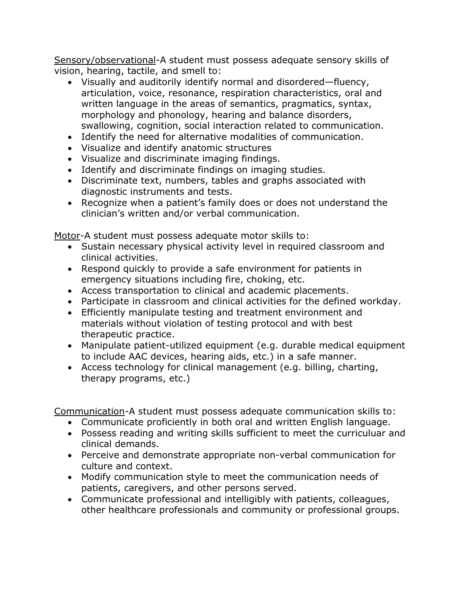Sensory/observational-A student must possess adequate sensory skills of vision, hearing, tactile, and smell to:

- Visually and auditorily identify normal and disordered—fluency, articulation, voice, resonance, respiration characteristics, oral and written language in the areas of semantics, pragmatics, syntax, morphology and phonology, hearing and balance disorders, swallowing, cognition, social interaction related to communication.
- Identify the need for alternative modalities of communication.
- Visualize and identify anatomic structures
- Visualize and discriminate imaging findings.
- Identify and discriminate findings on imaging studies.
- Discriminate text, numbers, tables and graphs associated with diagnostic instruments and tests.
- Recognize when a patient's family does or does not understand the clinician's written and/or verbal communication.

Motor-A student must possess adequate motor skills to:

- Sustain necessary physical activity level in required classroom and clinical activities.
- Respond quickly to provide a safe environment for patients in emergency situations including fire, choking, etc.
- Access transportation to clinical and academic placements.
- Participate in classroom and clinical activities for the defined workday.
- Efficiently manipulate testing and treatment environment and materials without violation of testing protocol and with best therapeutic practice.
- Manipulate patient-utilized equipment (e.g. durable medical equipment to include AAC devices, hearing aids, etc.) in a safe manner.
- Access technology for clinical management (e.g. billing, charting, therapy programs, etc.)

Communication-A student must possess adequate communication skills to:

- Communicate proficiently in both oral and written English language.
- Possess reading and writing skills sufficient to meet the curriculuar and clinical demands.
- Perceive and demonstrate appropriate non-verbal communication for culture and context.
- Modify communication style to meet the communication needs of patients, caregivers, and other persons served.
- Communicate professional and intelligibly with patients, colleagues, other healthcare professionals and community or professional groups.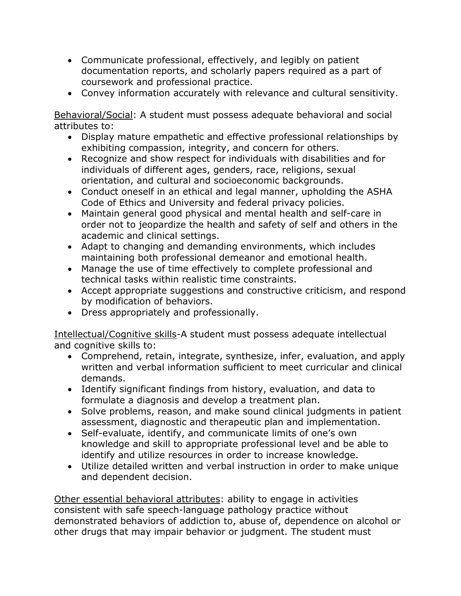- Communicate professional, effectively, and legibly on patient documentation reports, and scholarly papers required as a part of coursework and professional practice.
- Convey information accurately with relevance and cultural sensitivity.

Behavioral/Social: A student must possess adequate behavioral and social attributes to:

- Display mature empathetic and effective professional relationships by exhibiting compassion, integrity, and concern for others.
- Recognize and show respect for individuals with disabilities and for individuals of different ages, genders, race, religions, sexual orientation, and cultural and socioeconomic backgrounds.
- Conduct oneself in an ethical and legal manner, upholding the ASHA Code of Ethics and University and federal privacy policies.
- Maintain general good physical and mental health and self-care in order not to jeopardize the health and safety of self and others in the academic and clinical settings.
- Adapt to changing and demanding environments, which includes maintaining both professional demeanor and emotional health.
- Manage the use of time effectively to complete professional and technical tasks within realistic time constraints.
- Accept appropriate suggestions and constructive criticism, and respond by modification of behaviors.
- Dress appropriately and professionally.

Intellectual/Cognitive skills-A student must possess adequate intellectual and cognitive skills to:

- Comprehend, retain, integrate, synthesize, infer, evaluation, and apply written and verbal information sufficient to meet curricular and clinical demands.
- Identify significant findings from history, evaluation, and data to formulate a diagnosis and develop a treatment plan.
- Solve problems, reason, and make sound clinical judgments in patient assessment, diagnostic and therapeutic plan and implementation.
- Self-evaluate, identify, and communicate limits of one's own knowledge and skill to appropriate professional level and be able to identify and utilize resources in order to increase knowledge.
- Utilize detailed written and verbal instruction in order to make unique and dependent decision.

Other essential behavioral attributes: ability to engage in activities consistent with safe speech-language pathology practice without demonstrated behaviors of addiction to, abuse of, dependence on alcohol or other drugs that may impair behavior or judgment. The student must